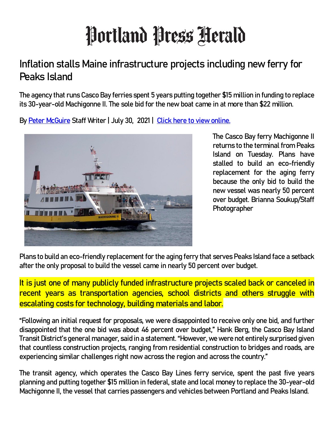## Portland Press Herald

## **Inflation stalls Maine infrastructure projects including new ferry for Peaks Island**

**The agency that runs Casco Bay ferries spent 5 years putting together \$15 million in funding to replace its 30-year-old Machigonne II. The sole bid for the new boat came in at more than \$22 million.** 

**By [Peter McGuire](https://www.pressherald.com/author/peter-mcguire) Staff Writer | July 30, 2021 | [Click here to view online.](https://www.pressherald.com/2021/07/30/inflation-stalls-maine-infrastructure-projects-including-new-peaks-island-ferry/)**



**The Casco Bay ferry Machigonne II returns to the terminal from Peaks Island on Tuesday. Plans have stalled to build an eco-friendly replacement for the aging ferry because the only bid to build the new vessel was nearly 50 percent over budget. Brianna Soukup/Staff Photographer**

**Plans to build an eco-friendly replacement for the aging ferry that serves Peaks Island face a setback after the only proposal to build the vessel came in nearly 50 percent over budget.**

**It is just one of many publicly funded infrastructure projects scaled back or canceled in recent years as transportation agencies, school districts and others struggle with escalating costs for technology, building materials and labor.**

**"Following an initial request for proposals, we were disappointed to receive only one bid, and further disappointed that the one bid was about 46 percent over budget," Hank Berg, the Casco Bay Island Transit District's general manager, said in a statement. "However, we were not entirely surprised given that countless construction projects, ranging from residential construction to bridges and roads, are experiencing similar challenges right now across the region and across the country."**

**The transit agency, which operates the Casco Bay Lines ferry service, spent the past five years planning and putting together \$15 million in federal, state and local money to replace the 30-year-old Machigonne II, the vessel that carries passengers and vehicles between Portland and Peaks Island.**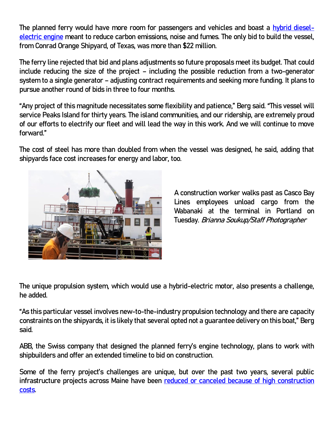**The planned ferry would have more room for passengers and vehicles and boast a [hybrid diesel](https://www.pressherald.com/2021/03/09/new-eo-friendly-ferry-will-carry-passengers-between-mainland-and-peaks-island-in-2022/?rel=related)[electric engine](https://www.pressherald.com/2021/03/09/new-eo-friendly-ferry-will-carry-passengers-between-mainland-and-peaks-island-in-2022/?rel=related) meant to reduce carbon emissions, noise and fumes. The only bid to build the vessel, from Conrad Orange Shipyard, of Texas, was more than \$22 million.**

**The ferry line rejected that bid and plans adjustments so future proposals meet its budget. That could include reducing the size of the project – including the possible reduction from a two-generator system to a single generator – adjusting contract requirements and seeking more funding. It plans to pursue another round of bids in three to four months.**

**"Any project of this magnitude necessitates some flexibility and patience," Berg said. "This vessel will service Peaks Island for thirty years. The island communities, and our ridership, are extremely proud of our efforts to electrify our fleet and will lead the way in this work. And we will continue to move forward."**

**The cost of steel has more than doubled from when the vessel was designed, he said, adding that shipyards face cost increases for energy and labor, too.**



**A construction worker walks past as Casco Bay Lines employees unload cargo from the Wabanaki at the terminal in Portland on Tuesday. Brianna Soukup/Staff Photographer**

**The unique propulsion system, which would use a hybrid-electric motor, also presents a challenge, he added.**

**"As this particular vessel involves new-to-the-industry propulsion technology and there are capacity constraints on the shipyards, it is likely that several opted not a guarantee delivery on this boat," Berg said.**

**ABB, the Swiss company that designed the planned ferry's engine technology, plans to work with shipbuilders and offer an extended timeline to bid on construction.**

**Some of the ferry project's challenges are unique, but over the past two years, several public infrastructure projects across Maine have been [reduced or canceled because of high construction](https://www.pressherald.com/2020/03/01/maines-battered-infrastructure-falls-behind-amid-soaring-construction-costs/?rel=related)  [costs.](https://www.pressherald.com/2020/03/01/maines-battered-infrastructure-falls-behind-amid-soaring-construction-costs/?rel=related)**